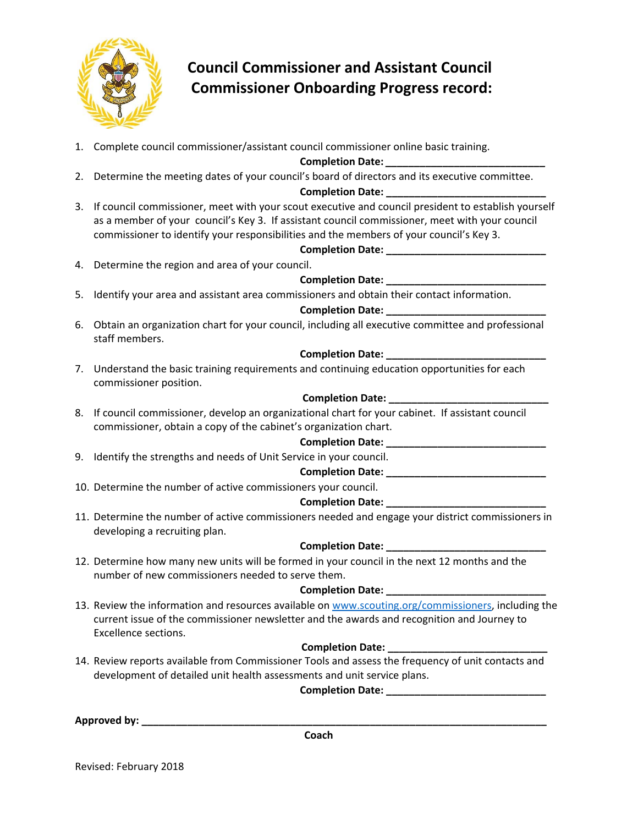

# **Council Commissioner and Assistant Council Commissioner Onboarding Progress record:**

1. Complete council commissioner/assistant council commissioner online basic training.

**Completion Date:** *\_\_\_\_\_\_\_\_\_\_\_\_\_\_\_\_\_\_\_\_\_\_\_\_\_\_\_\_*

2. Determine the meeting dates of your council's board of directors and its executive committee.

# **Completion Date: \_\_\_\_\_\_\_\_\_\_\_\_\_\_\_\_\_\_\_\_\_\_\_\_\_\_\_\_**

3. If council commissioner, meet with your scout executive and council president to establish yourself as a member of your council's Key 3. If assistant council commissioner, meet with your council commissioner to identify your responsibilities and the members of your council's Key 3.

# **Completion Date: \_\_\_\_\_\_\_\_\_\_\_\_\_\_\_\_\_\_\_\_\_\_\_\_\_\_\_\_**

4. Determine the region and area of your council.

# **Completion Date: \_\_\_\_\_\_\_\_\_\_\_\_\_\_\_\_\_\_\_\_\_\_\_\_\_\_\_\_**

5. Identify your area and assistant area commissioners and obtain their contact information.

#### **Completion Date: \_\_\_\_\_\_\_\_\_\_\_\_\_\_\_\_\_\_\_\_\_\_\_\_\_\_\_\_**

6. Obtain an organization chart for your council, including all executive committee and professional staff members.

# **Completion Date: \_\_\_\_\_\_\_\_\_\_\_\_\_\_\_\_\_\_\_\_\_\_\_\_\_\_\_\_**

7. Understand the basic training requirements and continuing education opportunities for each commissioner position.

# **Completion Date: \_\_\_\_\_\_\_\_\_\_\_\_\_\_\_\_\_\_\_\_\_\_\_\_\_\_\_\_**

8. If council commissioner, develop an organizational chart for your cabinet. If assistant council commissioner, obtain a copy of the cabinet's organization chart.

#### **Completion Date:**  $\blacksquare$

9. Identify the strengths and needs of Unit Service in your council.

#### **Completion Date:**  $\blacksquare$

10. Determine the number of active commissioners your council.

# **Completion Date: \_\_\_\_\_\_\_\_\_\_\_\_\_\_\_\_\_\_\_\_\_\_\_\_\_\_\_\_**

11. Determine the number of active commissioners needed and engage your district commissioners in developing a recruiting plan.

# **Completion Date: \_\_\_\_\_\_\_\_\_\_\_\_\_\_\_\_\_\_\_\_\_\_\_\_\_\_\_\_**

12. Determine how many new units will be formed in your council in the next 12 months and the number of new commissioners needed to serve them.

# **Completion Date: \_\_\_\_\_\_\_\_\_\_\_\_\_\_\_\_\_\_\_\_\_\_\_\_\_\_\_\_**

13. Review the information and resources available on www.scouting.org/commissioners, including the current issue of the commissioner newsletter and the awards and recognition and Journey to Excellence sections.

# **Completion Date: \_\_\_\_\_\_\_\_\_\_\_\_\_\_\_\_\_\_\_\_\_\_\_\_\_\_\_\_**

14. Review reports available from Commissioner Tools and assess the frequency of unit contacts and development of detailed unit health assessments and unit service plans.

Completion Date: \_\_\_\_\_\_\_\_

**Approved by: \_\_\_\_\_\_\_\_\_\_\_\_\_\_\_\_\_\_\_\_\_\_\_\_\_\_\_\_\_\_\_\_\_\_\_\_\_\_\_\_\_\_\_\_\_\_\_\_\_\_\_\_\_\_\_\_\_\_\_\_\_\_\_\_\_\_\_\_\_\_\_**